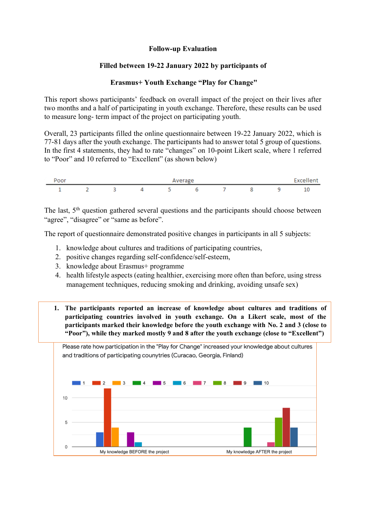## **Follow-up Evaluation**

## **Filled between 19-22 January 2022 by participants of**

## **Erasmus+ Youth Exchange "Play for Change"**

This report shows participants' feedback on overall impact of the project on their lives after two months and a half of participating in youth exchange. Therefore, these results can be used to measure long- term impact of the project on participating youth.

Overall, 23 participants filled the online questionnaire between 19-22 January 2022, which is 77-81 days after the youth exchange. The participants had to answer total 5 group of questions. In the first 4 statements, they had to rate "changes" on 10-point Likert scale, where 1 referred to "Poor" and 10 referred to "Excellent" (as shown below)

| Poor | Average |  |  |  |  |  |  |  | <b>Excellent</b> |
|------|---------|--|--|--|--|--|--|--|------------------|
|      |         |  |  |  |  |  |  |  | -                |

The last, 5<sup>th</sup> question gathered several questions and the participants should choose between "agree", "disagree" or "same as before".

The report of questionnaire demonstrated positive changes in participants in all 5 subjects:

- 1. knowledge about cultures and traditions of participating countries,
- 2. positive changes regarding self-confidence/self-esteem,
- 3. knowledge about Erasmus+ programme
- 4. health lifestyle aspects (eating healthier, exercising more often than before, using stress management techniques, reducing smoking and drinking, avoiding unsafe sex)
- **1. The participants reported an increase of knowledge about cultures and traditions of participating countries involved in youth exchange. On a Likert scale, most of the participants marked their knowledge before the youth exchange with No. 2 and 3 (close to "Poor"), while they marked mostly 9 and 8 after the youth exchange (close to "Excellent")**

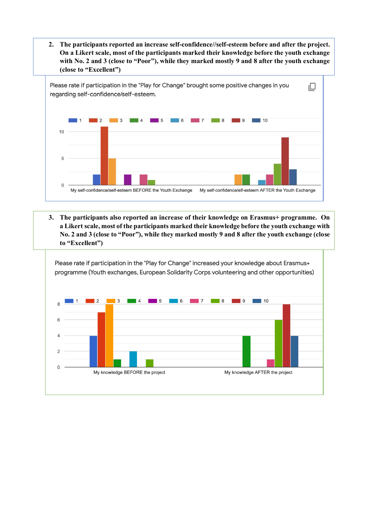**2. The participants reported an increase self-confidence//self-esteem before and after the project. On a Likert scale, most of the participants marked their knowledge before the youth exchange with No. 2 and 3 (close to "Poor"), while they marked mostly 9 and 8 after the youth exchange (close to "Excellent")**



**3. The participants also reported an increase of their knowledge on Erasmus+ programme. On a Likert scale, most of the participants marked their knowledge before the youth exchange with No. 2 and 3 (close to "Poor"), while they marked mostly 9 and 8 after the youth exchange (close to "Excellent")**

Please rate if participation in the "Play for Change" increased your knowledge about Erasmus+ programme (Youth exchanges, European Solidarity Corps volunteering and other opportunities)